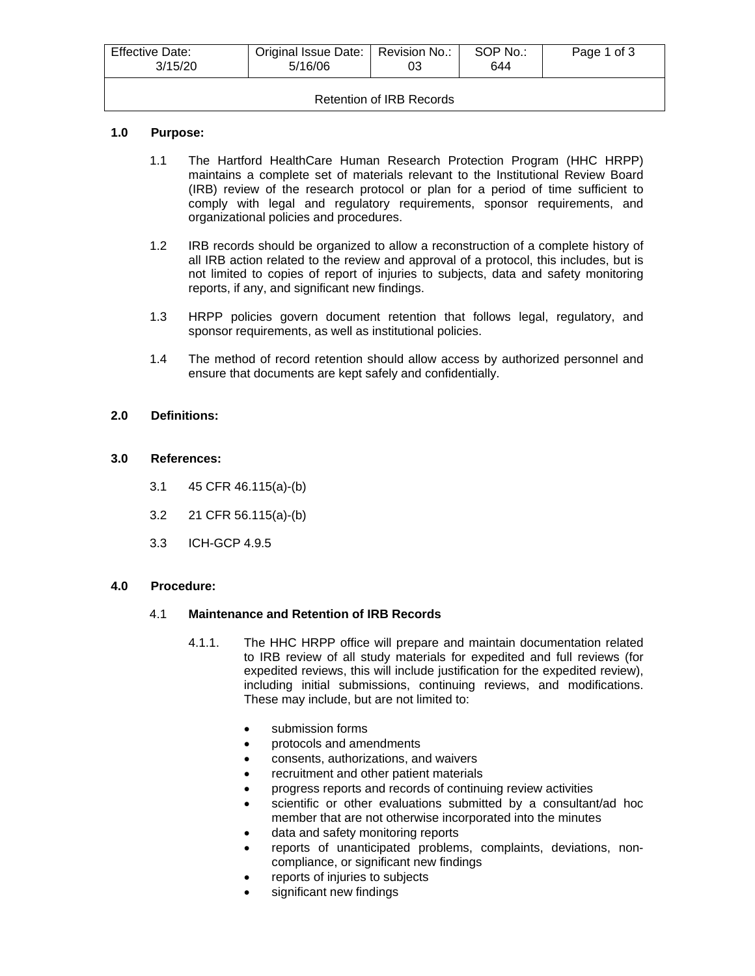| <b>Effective Date:</b><br>3/15/20 | Original Issue Date:   Revision No.:<br>5/16/06 | 03 | SOP No.:<br>644 | Page 1 of 3 |
|-----------------------------------|-------------------------------------------------|----|-----------------|-------------|
| Retention of IRB Records          |                                                 |    |                 |             |

#### **1.0 Purpose:**

- 1.1 The Hartford HealthCare Human Research Protection Program (HHC HRPP) maintains a complete set of materials relevant to the Institutional Review Board (IRB) review of the research protocol or plan for a period of time sufficient to comply with legal and regulatory requirements, sponsor requirements, and organizational policies and procedures.
- 1.2 IRB records should be organized to allow a reconstruction of a complete history of all IRB action related to the review and approval of a protocol, this includes, but is not limited to copies of report of injuries to subjects, data and safety monitoring reports, if any, and significant new findings.
- 1.3 HRPP policies govern document retention that follows legal, regulatory, and sponsor requirements, as well as institutional policies.
- 1.4 The method of record retention should allow access by authorized personnel and ensure that documents are kept safely and confidentially.

#### **2.0 Definitions:**

#### **3.0 References:**

- 3.1 45 CFR 46.115(a)-(b)
- 3.2 21 CFR 56.115(a)-(b)
- 3.3 ICH-GCP 4.9.5

#### **4.0 Procedure:**

#### 4.1 **Maintenance and Retention of IRB Records**

- 4.1.1. The HHC HRPP office will prepare and maintain documentation related to IRB review of all study materials for expedited and full reviews (for expedited reviews, this will include justification for the expedited review), including initial submissions, continuing reviews, and modifications. These may include, but are not limited to:
	- submission forms
	- protocols and amendments
	- consents, authorizations, and waivers
	- recruitment and other patient materials
	- progress reports and records of continuing review activities
	- scientific or other evaluations submitted by a consultant/ad hoc member that are not otherwise incorporated into the minutes
	- data and safety monitoring reports
	- reports of unanticipated problems, complaints, deviations, noncompliance, or significant new findings
	- reports of injuries to subjects
	- significant new findings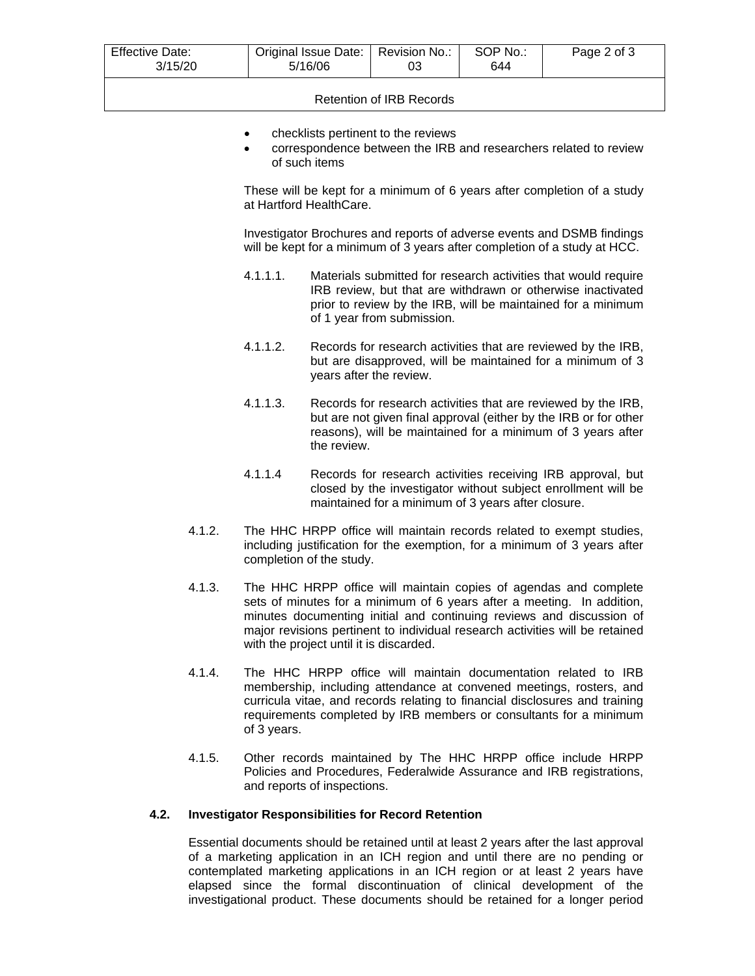| <b>Effective Date:</b><br>3/15/20 | Original Issue Date:   Revision No.:<br>5/16/06 | 03 | SOP No.:<br>644 | Page 2 of 3 |
|-----------------------------------|-------------------------------------------------|----|-----------------|-------------|
|                                   |                                                 |    |                 |             |

# Retention of IRB Records

- checklists pertinent to the reviews
- correspondence between the IRB and researchers related to review of such items

These will be kept for a minimum of 6 years after completion of a study at Hartford HealthCare.

Investigator Brochures and reports of adverse events and DSMB findings will be kept for a minimum of 3 years after completion of a study at HCC.

- 4.1.1.1. Materials submitted for research activities that would require IRB review, but that are withdrawn or otherwise inactivated prior to review by the IRB, will be maintained for a minimum of 1 year from submission.
- 4.1.1.2. Records for research activities that are reviewed by the IRB, but are disapproved, will be maintained for a minimum of 3 years after the review.
- 4.1.1.3. Records for research activities that are reviewed by the IRB, but are not given final approval (either by the IRB or for other reasons), will be maintained for a minimum of 3 years after the review.
- 4.1.1.4 Records for research activities receiving IRB approval, but closed by the investigator without subject enrollment will be maintained for a minimum of 3 years after closure.
- 4.1.2. The HHC HRPP office will maintain records related to exempt studies, including justification for the exemption, for a minimum of 3 years after completion of the study.
- 4.1.3. The HHC HRPP office will maintain copies of agendas and complete sets of minutes for a minimum of 6 years after a meeting. In addition, minutes documenting initial and continuing reviews and discussion of major revisions pertinent to individual research activities will be retained with the project until it is discarded.
- 4.1.4. The HHC HRPP office will maintain documentation related to IRB membership, including attendance at convened meetings, rosters, and curricula vitae, and records relating to financial disclosures and training requirements completed by IRB members or consultants for a minimum of 3 years.
- 4.1.5. Other records maintained by The HHC HRPP office include HRPP Policies and Procedures, Federalwide Assurance and IRB registrations, and reports of inspections.

#### **4.2. Investigator Responsibilities for Record Retention**

Essential documents should be retained until at least 2 years after the last approval of a marketing application in an ICH region and until there are no pending or contemplated marketing applications in an ICH region or at least 2 years have elapsed since the formal discontinuation of clinical development of the investigational product. These documents should be retained for a longer period